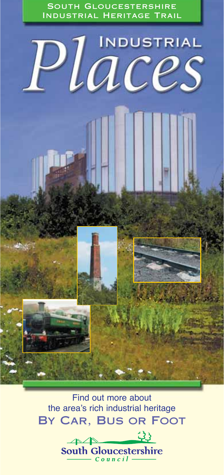South Gloucestershire Industrial Heritage Trail



Find out more about the area's rich industrial heritage By Car, Bus or Foot

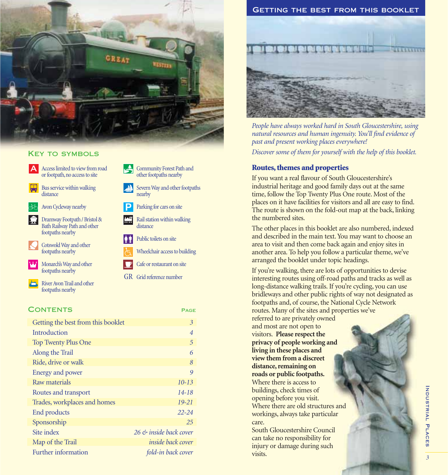

## **KEY TO SYMBOLS**

A Access limited to view from road or footpath, no access to site

Bus service within walking distance

Avon Cycleway nearby E **P**

Dramway Footpath / Bristol & Ç Bath Railway Path and other footpaths nearby

Cotswold Way and other footpaths nearby

> Monarch's Way and other footpaths nearby

River Avon Trail and other footpaths nearby

## CONTENTS PAGE

| Getting the best from this booklet | 3                        |
|------------------------------------|--------------------------|
| Introduction                       | $\overline{4}$           |
| <b>Top Twenty Plus One</b>         | 5                        |
| Along the Trail                    | 6                        |
| Ride, drive or walk                | 8                        |
| Energy and power                   | 9                        |
| Raw materials                      | $10 - 13$                |
| Routes and transport               | $14 - 18$                |
| Trades, workplaces and homes       | $19 - 21$                |
| End products                       | $22 - 24$                |
| Sponsorship                        | 25                       |
| Site index                         | 26 & inside back cover   |
| Map of the Trail                   | <i>inside back cover</i> |
| Further information                | fold-in back cover       |
|                                    |                          |



*People have always worked hard in South Gloucestershire, using natural resources and human ingenuity. You'll find evidence of past and present working places everywhere! Discover some of them for yourself with the help of this booklet.*

## **Routes, themes and properties**

If you want a real flavour of South Gloucestershire's industrial heritage and good family days out at the same time, follow the Top Twenty Plus One route. Most of the places on it have facilities for visitors and all are easy to find. The route is shown on the fold-out map at the back, linking the numbered sites.

The other places in this booklet are also numbered, indexed and described in the main text. You may want to choose an area to visit and then come back again and enjoy sites in another area. To help you follow a particular theme, we've arranged the booklet under topic headings.

If you're walking, there are lots of opportunities to devise interesting routes using off-road paths and tracks as well as long-distance walking trails. If you're cycling, you can use bridleways and other public rights of way not designated as footpaths and, of course, the National Cycle Network routes. Many of the sites and properties we've

referred to are privately owned and most are not open to visitors. **Please respect the privacy of people working and living in these places and view them from a discreet distance, remaining on roads or public footpaths.** Where there is access to buildings, check times of opening before you visit. Where there are old structures and workings, always take particular care.

South Gloucestershire Council can take no responsibility for injury or damage during such visits.

## Rail station within walking distance

nearby

- Public toilets on site ∦∲
- Wheelchair access to building

Parking for cars on site

Community Forest Path and other footpaths nearby Severn Way and other footpaths

- Cafe or restaurant on site
- GR Grid reference number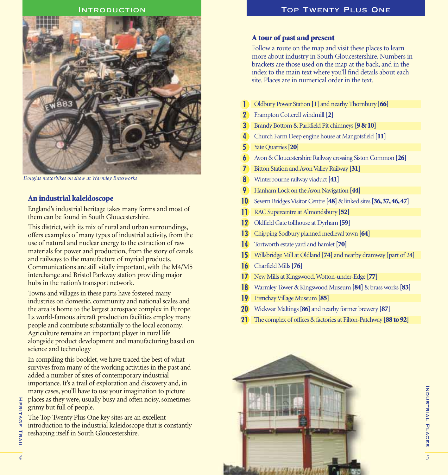

*Douglas motorbikes on show at Warmley Brassworks*

## **An industrial kaleidoscope**

England's industrial heritage takes many forms and most of them can be found in South Gloucestershire.

This district, with its mix of rural and urban surroundings, offers examples of many types of industrial activity, from the use of natural and nuclear energy to the extraction of raw materials for power and production, from the story of canals and railways to the manufacture of myriad products. Communications are still vitally important, with the M4/M5 interchange and Bristol Parkway station providing major hubs in the nation's transport network.

Towns and villages in these parts have fostered many industries on domestic, community and national scales and the area is home to the largest aerospace complex in Europe. Its world-famous aircraft production facilities employ many people and contribute substantially to the local economy. Agriculture remains an important player in rural life alongside product development and manufacturing based on science and technology

In compiling this booklet, we have traced the best of what survives from many of the working activities in the past and added a number of sites of contemporary industrial importance. It's a trail of exploration and discovery and, in many cases, you'll have to use your imagination to picture places as they were, usually busy and often noisy, sometimes grimy but full of people.

The Top Twenty Plus One key sites are an excellent introduction to the industrial kaleidoscope that is constantly reshaping itself in South Gloucestershire.

## **A tour of past and present**

Follow a route on the map and visit these places to learn more about industry in South Gloucestershire. Numbers in brackets are those used on the map at the back, and in the index to the main text where you'll find details about each site. Places are in numerical order in the text.

- Oldbury Power Station **[1]** and nearby Thornbury **[66] 1**
- Frampton Cotterell windmill **[2] 2**
- Brandy Bottom & Parkfield Pit chimneys **[9 & 10] 3**
- Church Farm Deep engine house at Mangotsfield **[11] 4**
- Yate Quarries **[20] 5**
- Avon & Gloucestershire Railway crossing Siston Common **[26] 6**
- Bitton Station and Avon Valley Railway **[31] 7**
- Winterbourne railway viaduct **[41] 8**
- Hanham Lock on the Avon Navigation **[44] 9**
- Severn Bridges Visitor Centre **[48]** & linked sites **[36,37,46,47] 10**
- RAC Supercentre at Almondsbury **[52] 11**
- Oldfield Gate tollhouse at Dyrham **[59] 12**
- Chipping Sodbury planned medieval town **[64] 13**
- Tortworth estate yard and hamlet **[70] 14**
- Willsbridge Mill at Oldland **[74]** and nearby dramway [part of 24] **15**
- Charfield Mills **[76] 16**
- New Mills at Kingswood,Wotton-under-Edge **[77] 17**
- Warmley Tower & Kingswood Museum **[84]** & brass works **[83] 18**
- Frenchay Village Museum **[85] 19**
- Wickwar Maltings **[86]** and nearby former brewery **[87] 20**
- The complex of offices & factories at Filton-Patchway **[88 to 92] 21**



Heritage Trail

TRAIL

**HERITAGE**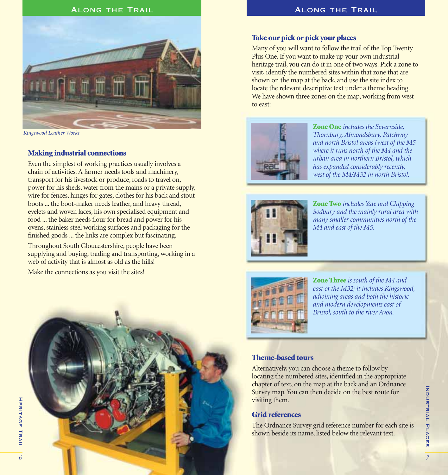



*Kingswood Leather Works*

## **Making industrial connections**

Even the simplest of working practices usually involves a chain of activities. A farmer needs tools and machinery, transport for his livestock or produce, roads to travel on, power for his sheds, water from the mains or a private supply, wire for fences, hinges for gates, clothes for his back and stout boots ... the boot-maker needs leather, and heavy thread, eyelets and woven laces, his own specialised equipment and food ... the baker needs flour for bread and power for his ovens, stainless steel working surfaces and packaging for the finished goods ... the links are complex but fascinating.

Throughout South Gloucestershire, people have been supplying and buying, trading and transporting, working in a web of activity that is almost as old as the hills!

Make the connections as you visit the sites!



## **Take our pick or pick your places**

Many of you will want to follow the trail of the Top Twenty Plus One. If you want to make up your own industrial heritage trail, you can do it in one of two ways. Pick a zone to visit, identify the numbered sites within that zone that are shown on the map at the back, and use the site index to locate the relevant descriptive text under a theme heading. We have shown three zones on the map, working from west to east:



**Zone One** *includes the Severnside, Thornbury, Almondsbury, Patchway and north Bristol areas (west of the M5 where it runs north of the M4 and the urban area in northern Bristol, which has expanded considerably recently, west of the M4/M32 in north Bristol.*



**Zone Two** *includes Yate and Chipping Sodbury and the mainly rural area with many smaller communities north of the M4 and east of the M5.*



**Zone Three** *is south of the M4 and east of the M32; it includes Kingswood, adjoining areas and both the historic and modern developments east of Bristol, south to the river Avon.*

## **Theme-based tours**

Alternatively, you can choose a theme to follow by locating the numbered sites, identified in the appropriate chapter of text, on the map at the back and an Ordnance Survey map. You can then decide on the best route for visiting them.

## **Grid references**

The Ordnance Survey grid reference number for each site is shown beside its name, listed below the relevant text.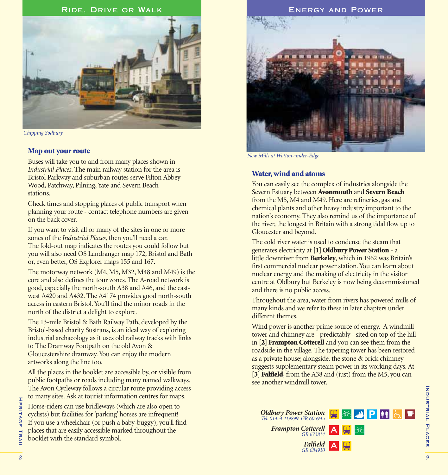

*Chipping Sodbury*

## **Map out your route**

Buses will take you to and from many places shown in *Industrial Places*. The main railway station for the area is Bristol Parkway and suburban routes serve Filton Abbey Wood, Patchway, Pilning, Yate and Severn Beach stations.

Check times and stopping places of public transport when planning your route - contact telephone numbers are given on the back cover.

If you want to visit all or many of the sites in one or more zones of the *Industrial Places,* then you'll need a car. The fold-out map indicates the routes you could follow but you will also need OS Landranger map 172, Bristol and Bath or, even better, OS Explorer maps 155 and 167.

The motorway network (M4, M5, M32, M48 and M49) is the core and also defines the tour zones. The A-road network is good, especially the north-south A38 and A46, and the eastwest A420 and A432. The A4174 provides good north-south access in eastern Bristol. You'll find the minor roads in the north of the district a delight to explore.

The 13-mile Bristol & Bath Railway Path, developed by the Bristol-based charity Sustrans, is an ideal way of exploring industrial archaeology as it uses old railway tracks with links to The Dramway Footpath on the old Avon & Gloucestershire dramway. You can enjoy the modern artworks along the line too.

All the places in the booklet are accessible by, or visible from public footpaths or roads including many named walkways. The Avon Cycleway follows a circular route providing access to many sites. Ask at tourist information centres for maps.

Horse-riders can use bridleways (which are also open to cyclists) but facilities for 'parking' horses are infrequent! If you use a wheelchair (or push a baby-buggy), you'll find places that are easily accessible marked throughout the booklet with the standard symbol.



*New Mills at Wotton-under-Edge*

## **Water, wind and atoms**

You can easily see the complex of industries alongside the Severn Estuary between **Avonmouth** and **Severn Beach** from the M5, M4 and M49. Here are refineries, gas and chemical plants and other heavy industry important to the nation's economy. They also remind us of the importance of the river, the longest in Britain with a strong tidal flow up to Gloucester and beyond.

The cold river water is used to condense the steam that generates electricity at **[1] Oldbury Power Station** - a little downriver from **Berkeley**, which in 1962 was Britain's first commercial nuclear power station. You can learn about nuclear energy and the making of electricity in the visitor centre at Oldbury but Berkeley is now being decommissioned and there is no public access.

Throughout the area, water from rivers has powered mills of many kinds and we refer to these in later chapters under different themes.

Wind power is another prime source of energy. A windmill tower and chimney are - predictably - sited on top of the hill in **[2] Frampton Cotterell** and you can see them from the roadside in the village. The tapering tower has been restored as a private house; alongside, the stone & brick chimney suggests supplementary steam power in its working days. At [3] **Falfield**, from the A38 and (just) from the M5, you can see another windmill tower.

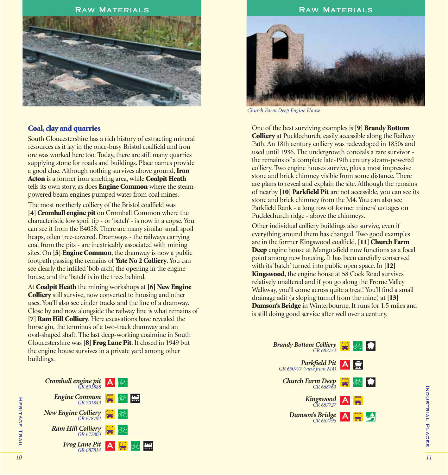## RAW MATERIALS **RAW MATERIALS**



### **Coal, clay and quarries**

South Gloucestershire has a rich history of extracting mineral resources as it lay in the once-busy Bristol coalfield and iron ore was worked here too. Today, there are still many quarries supplying stone for roads and buildings. Place names provide a good clue. Although nothing survives above ground,**Iron Acton** is a former iron smelting area, while **Coalpit Heath** tells its own story, as does **Engine Common** where the steampowered beam engines pumped water from coal mines.

The most northerly colliery of the Bristol coalfield was **[4] Cromhall engine pit** on Cromhall Common where the characteristic low spoil tip - or 'batch' - is now in a copse. You can see it from the B4058. There are many similar small spoil heaps, often tree-covered. Dramways - the railways carrying coal from the pits - are inextricably associated with mining sites. On **[5] Engine Common**, the dramway is now a public footpath passing the remains of **Yate No 2 Colliery**. You can see clearly the infilled 'bob arch', the opening in the engine house, and the 'batch' is in the trees behind.

At **Coalpit Heath** the mining workshops at **[6] New Engine Colliery** still survive, now converted to housing and other uses. You'll also see cinder tracks and the line of a dramway. Close by and now alongside the railway line is what remains of **[7] Ram Hill Colliery**. Here excavations have revealed the horse gin, the terminus of a two-track dramway and an oval-shaped shaft. The last deep-working coalmine in South Gloucestershire was **[8] Frog Lane Pit**. It closed in 1949 but the engine house survives in a private yard among other buildings.





*Church Farm Deep Engine House*

One of the best surviving examples is **[9] Brandy Bottom Colliery** at Pucklechurch, easily accessible along the Railway Path. An 18th century colliery was redeveloped in 1850s and used until 1936. The undergrowth conceals a rare survivor the remains of a complete late-19th century steam-powered colliery. Two engine houses survive, plus a most impressive stone and brick chimney visible from some distance. There are plans to reveal and explain the site. Although the remains of nearby **[10] Parkfield Pit** are not accessible, you can see its stone and brick chimney from the M4. You can also see Parkfield Rank - a long row of former miners' cottages on Pucklechurch ridge - above the chimneys.

Other individual colliery buildings also survive, even if everything around them has changed. Two good examples are in the former Kingswood coalfield.**[11] Church Farm Deep** engine house at Mangotsfield now functions as a focal point among new housing. It has been carefully conserved with its 'batch' turned into public open space. In **[12] Kingswood**, the engine house at 58 Cock Road survives relatively unaltered and if you go along the Frome Valley Walkway, you'll come across quite a treat! You'll find a small drainage adit (a sloping tunnel from the mine) at **[13] Damson's Bridge** in Winterbourne. It runs for 1.5 miles and is still doing good service after well over a century.

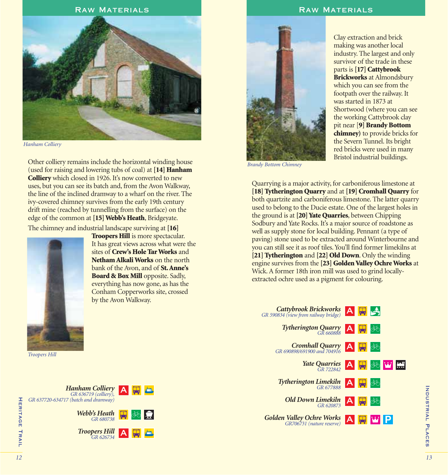## RAW MATERIALS **RAW MATERIALS**



*Hanham Colliery*

Other colliery remains include the horizontal winding house (used for raising and lowering tubs of coal) at **[14] Hanham Colliery** which closed in 1926. It's now converted to new uses, but you can see its batch and, from the Avon Walkway, the line of the inclined dramway to a wharf on the river. The ivy-covered chimney survives from the early 19th century drift mine (reached by tunnelling from the surface) on the edge of the common at **[15] Webb's Heath**, Bridgeyate.

The chimney and industrial landscape surviving at **[16]**



**Troopers Hill** is more spectacular. It has great views across what were the sites of **Crew's Hole Tar Works** and **Netham Alkali Works** on the north bank of the Avon, and of **St. Anne's Board & Box Mill** opposite. Sadly, everything has now gone, as has the Conham Copperworks site, crossed by the Avon Walkway.

*Troopers Hill*





*Brandy Bottom Chimney*

Clay extraction and brick making was another local industry. The largest and only survivor of the trade in these parts is **[17] Cattybrook Brickworks** at Almondsbury which you can see from the footpath over the railway. It was started in 1873 at Shortwood (where you can see the working Cattybrook clay pit near [**9] Brandy Bottom chimney)** to provide bricks for the Severn Tunnel. Its bright red bricks were used in many Bristol industrial buildings.

Quarrying is a major activity, for carboniferous limestone at **[18] Tytherington Quarry** and at **[19] Cromhall Quarry** for both quartzite and carboniferous limestone. The latter quarry used to belong to the Ducie estate. One of the largest holes in the ground is at **[20] Yate Quarries**, between Chipping Sodbury and Yate Rocks. It's a major source of roadstone as well as supply stone for local building. Pennant (a type of paving) stone used to be extracted around Winterbourne and you can still see it as roof tiles. You'll find former limekilns at **[21] Tytherington** and **[22] Old Down**. Only the winding engine survives from the **[23] Golden Valley Ochre Works** at Wick. A former 18th iron mill was used to grind locallyextracted ochre used as a pigment for colouring.

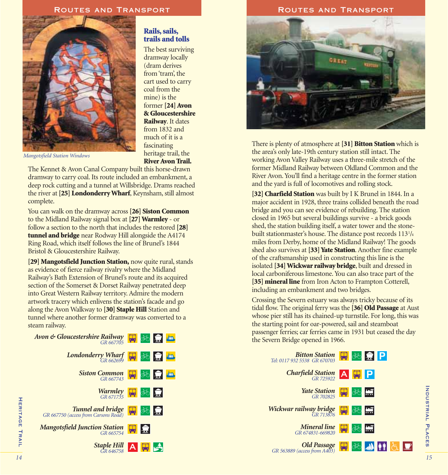

## **Rails, sails, trails and tolls**

The best surviving dramway locally (dram derives from 'tram', the cart used to carry coal from the mine) is the former **[24] Avon & Gloucestershire Railway**. It dates from 1832 and much of it is a fascinating heritage trail, the **River Avon Trail.**

*Mangotsfield Station Windows*

The Kennet & Avon Canal Company built this horse-drawn dramway to carry coal. Its route included an embankment, a deep rock cutting and a tunnel at Willsbridge. Drams reached the river at**[25] Londonderry Wharf**, Keynsham, still almost complete.

You can walk on the dramway across **[26] Siston Common** to the Midland Railway signal box at **[27] Warmley** - or follow a section to the north that includes the restored **[28] tunnel and bridge** near Rodway Hill alongside the A4174 Ring Road, which itself follows the line of Brunel's 1844 Bristol & Gloucestershire Railway.

**[29] Mangotsfield Junction Station,** now quite rural, stands as evidence of fierce railway rivalry where the Midland Railway's Bath Extension of Brunel's route and its acquired section of the Somerset & Dorset Railway penetrated deep into Great Western Railway territory. Admire the modern artwork tracery which enlivens the station's facade and go along the Avon Walkway to **[30] Staple Hill** Station and tunnel where another former dramway was converted to a steam railway.

| Avon & Gloucestershire Railway <b>The 36 Region</b>                          |           |  |  |
|------------------------------------------------------------------------------|-----------|--|--|
| $\frac{Londonderry Wharf}{GR 662699}$                                        |           |  |  |
| Siston Common $\frac{1}{\sqrt{2}}$ $\frac{1}{\sqrt{2}}$ $\frac{1}{\sqrt{2}}$ |           |  |  |
| $\frac{\text{Warmley}}{\text{GR } 671735}$                                   |           |  |  |
| GR 667750 (access from Carsons Road)                                         |           |  |  |
| <b>Mangotsfield Junction Station</b><br>GR 665754                            | <b>HE</b> |  |  |
| Staple Hill $\overline{A}$ $\overline{H}$ $\overline{A}$                     |           |  |  |

#### ROUTES AND TRANSPORT **ROUTES AND TRANSPORT**



There is plenty of atmosphere at **[31] Bitton Station** which is the area's only late-19th century station still intact. The working Avon Valley Railway uses a three-mile stretch of the former Midland Railway between Oldland Common and the River Avon. You'll find a heritage centre in the former station and the yard is full of locomotives and rolling stock.

**[32] Charfield Station** was built by I K Brunel in 1844. In a major accident in 1928, three trains collided beneath the road bridge and you can see evidence of rebuilding. The station closed in 1965 but several buildings survive - a brick goods shed, the station building itself, a water tower and the stonebuilt stationmaster's house. The distance post records 113<sup>1</sup>/4 miles from Derby, home of the Midland Railway! The goods shed also survives at **[33] Yate Station**. Another fine example of the craftsmanship used in constructing this line is the isolated **[34] Wickwar railway bridge**, built and dressed in local carboniferous limestone. You can also trace part of the [35] **mineral line** from Iron Acton to Frampton Cotterell, including an embankment and two bridges.

Crossing the Severn estuary was always tricky because of its tidal flow. The original ferry was the **[36] Old Passage** at Aust whose pier still has its chained-up turnstile. For long, this was the starting point for oar-powered, sail and steamboat passenger ferries; car ferries came in 1931 but ceased the day the Severn Bridge opened in 1966.

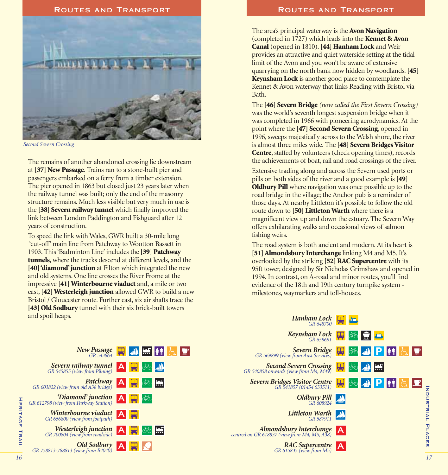

*Second Severn Crossing*

The remains of another abandoned crossing lie downstream at **[37] New Passage**. Trains ran to a stone-built pier and passengers embarked on a ferry from a timber extension. The pier opened in 1863 but closed just 23 years later when the railway tunnel was built; only the end of the masonry structure remains. Much less visible but very much in use is the **[38] Severn railway tunnel** which finally improved the link between London Paddington and Fishguard after 12 years of construction.

To speed the link with Wales, GWR built a 30-mile long 'cut-off' main line from Patchway to Wootton Bassett in 1903. This 'Badminton Line' includes the **[39] Patchway tunnels**, where the tracks descend at different levels, and the **[40] 'diamond' junction** at Filton which integrated the new and old systems. One line crosses the River Frome at the impressive **[41] Winterbourne viaduct** and, a mile or two east, **[42] Westerleigh junction** allowed GWR to build a new Bristol / Gloucester route. Further east, six air shafts trace the **[43] Old Sodbury** tunnel with their six brick-built towers and spoil heaps.

#### ROUTES AND TRANSPORT **ROUTES AND TRANSPORT**

The area's principal waterway is the **Avon Navigation** (completed in 1727) which leads into the **Kennet & Avon Canal** (opened in 1810).**[44] Hanham Lock** and Weir provides an attractive and quiet waterside setting at the tidal limit of the Avon and you won't be aware of extensive quarrying on the north bank now hidden by woodlands.**[45] Keynsham Lock** is another good place to contemplate the Kennet & Avon waterway that links Reading with Bristol via Bath.

The **[46] Severn Bridge** *(now called the First Severn Crossing)* was the world's seventh longest suspension bridge when it was completed in 1966 with pioneering aerodynamics. At the point where the **[47] Second Severn Crossing**, opened in 1996, sweeps majestically across to the Welsh shore, the river is almost three miles wide. The **[48] Severn Bridges Visitor Centre**, staffed by volunteers (check opening times), records the achievements of boat, rail and road crossings of the river.

Extensive trading along and across the Severn used ports or pills on both sides of the river and a good example is **[49] Oldbury Pill** where navigation was once possible up to the road bridge in the village; the Anchor pub is a reminder of those days. At nearby Littleton it's possible to follow the old route down to **[50] Littleton Warth** where there is a magnificent view up and down the estuary. The Severn Way offers exhilarating walks and occasional views of salmon fishing weirs.

The road system is both ancient and modern. At its heart is **[51] Almondsbury Interchange** linking M4 and M5. It's overlooked by the striking **[52] RAC Supercentre** with its 95ft tower, designed by Sir Nicholas Grimshaw and opened in 1994. In contrast, on A-road and minor routes, you'll find evidence of the 18th and 19th century turnpike system milestones, waymarkers and toll-houses.

> *Hanham Lock GR 648700*



Industrial Places

INDUSTRIAL PLACES

làn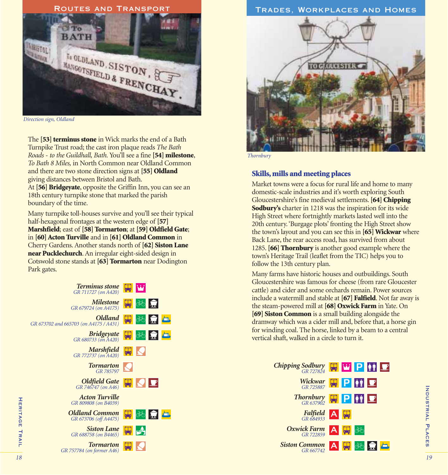

*Direction sign, Oldland*

The **[53] terminus stone** in Wick marks the end of a Bath Turnpike Trust road; the cast iron plaque reads *The Bath Roads* - *to the Guildhall, Bath.* You'll see a fine **[54] milestone**, *To Bath 8 Miles,* in North Common near Oldland Common and there are two stone direction signs at **[55] Oldland** giving distances between Bristol and Bath.

At **[56] Bridgeyate**, opposite the Griffin Inn, you can see an 18th century turnpike stone that marked the parish boundary of the time.

Many turnpike toll-houses survive and you'll see their typical half-hexagonal frontages at the western edge of **[57] Marshfield**; east of **[58] Tormarton**; at **[59] Oldfield Gate**; in **[60] Acton Turville** and in **[61] Oldland Common** in Cherry Gardens. Another stands north of **[62] Siston Lane near Pucklechurch**. An irregular eight-sided design in Cotswold stone stands at **[63] Tormarton** near Dodington Park gates.

| Terminus stone<br>GR 711727 (on A420)             |     |            |     |  |
|---------------------------------------------------|-----|------------|-----|--|
| <i>Milestone</i><br>GR 679724 (on A4175)          |     | 两豆         |     |  |
| Oldland<br>GR 673702 and 665703 (on A4175 / A431) |     |            | 函复画 |  |
| <b>Bridgeyate</b><br>GR 680733 (on A420)          |     | 两豆血        |     |  |
| <b>Marshfield</b><br>GR 772737 (on A420)          | ا پ |            |     |  |
| <b>Tormarton</b><br>GR 785797                     |     |            |     |  |
| <b>Oldfield Gate</b><br>GR 746747 (on A46)        |     | <b>HND</b> |     |  |
| <b>Acton Turville</b><br>GR 809808 (on B4039)     |     |            |     |  |
| <b>Oldland Common</b><br>GR 673706 (off A4475)    |     | 男め点        |     |  |
| <b>Siston Lane</b><br>GR 688758 (on B4465)        |     | W S        |     |  |
| <b>Tormarton</b><br>GR 757784 (on former A46)     |     |            |     |  |

# ROUTES AND TRANSPORT **TRADES, WORKPLACES AND HOMES**



*Thornbury*

#### **Skills, mills and meeting places**

Market towns were a focus for rural life and home to many domestic-scale industries and it's worth exploring South Gloucestershire's fine medieval settlements. **[64] Chipping Sodbury's** charter in 1218 was the inspiration for its wide High Street where fortnightly markets lasted well into the 20th century. 'Burgage plots' fronting the High Street show the town's layout and you can see this in **[65] Wickwar** where Back Lane, the rear access road, has survived from about 1285. **[66] Thornbury** is another good example where the town's Heritage Trail (leaflet from the TIC) helps you to follow the 13th century plan.

Many farms have historic houses and outbuildings. South Gloucestershire was famous for cheese (from rare Gloucester cattle) and cider and some orchards remain. Power sources include a watermill and stable at **[67] Falfield**. Not far away is the steam-powered mill at **[68] Oxwick Farm** in Yate. On **[69] Siston Common** is a small building alongside the dramway which was a cider mill and, before that, a horse gin for winding coal. The horse, linked by a beam to a central vertical shaft, walked in a circle to turn it.



Heritage Trail

**HERITAGE TRAIL**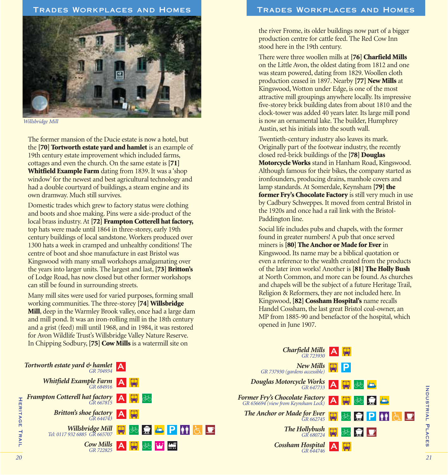

*Willsbridge Mill*

The former mansion of the Ducie estate is now a hotel, but the **[70] Tortworth estate yard and hamlet** is an example of 19th century estate improvement which included farms, cottages and even the church. On the same estate is **[71] Whitfield Example Farm** dating from 1839. It was a 'shop window' for the newest and best agricultural technology and had a double courtyard of buildings, a steam engine and its own dramway. Much still survives.

Domestic trades which grew to factory status were clothing and boots and shoe making. Pins were a side-product of the local brass industry. At **[72] Frampton Cotterell hat factory,** top hats were made until 1864 in three-storey, early 19th century buildings of local sandstone. Workers produced over 1300 hats a week in cramped and unhealthy conditions! The centre of boot and shoe manufacture in east Bristol was Kingswood with many small workshops amalgamating over the years into larger units. The largest and last,**[73] Britton's** of Lodge Road, has now closed but other former workshops can still be found in surrounding streets.

Many mill sites were used for varied purposes, forming small working communities. The three-storey **[74] Willsbridge Mill**, deep in the Warmley Brook valley, once had a large dam and mill pond. It was an iron-rolling mill in the 18th century and a grist (feed) mill until 1968, and in 1984, it was restored for Avon Wildlife Trust's Willsbridge Valley Nature Reserve. In Chipping Sodbury,**[75] Cow Mills** is a watermill site on



## Trades Workplaces and Homes Trades Workplaces and Homes

the river Frome, its older buildings now part of a bigger production centre for cattle feed. The Red Cow Inn stood here in the 19th century.

There were three woollen mills at **[76] Charfield Mills** on the Little Avon, the oldest dating from 1812 and one was steam powered, dating from 1829. Woollen cloth production ceased in 1897. Nearby **[77] New Mills** at Kingswood, Wotton under Edge, is one of the most attractive mill groupings anywhere locally. Its impressive five-storey brick building dates from about 1810 and the clock-tower was added 40 years later. Its large mill pond is now an ornamental lake. The builder, Humphrey Austin, set his initials into the south wall.

Twentieth-century industry also leaves its mark. Originally part of the footwear industry, the recently closed red-brick buildings of the **[78] Douglas Motorcycle Works** stand in Hanham Road, Kingswood. Although famous for their bikes, the company started as ironfounders, producing drains, manhole covers and lamp standards. At Somerdale, Keynsham **[79] the former Fry's Chocolate Factory** is still very much in use by Cadbury Schweppes. It moved from central Bristol in the 1920s and once had a rail link with the Bristol-Paddington line.

Social life includes pubs and chapels, with the former found in greater numbers! A pub that once served miners is **[80] The Anchor or Made for Ever** in Kingswood. Its name may be a biblical quotation or even a reference to the wealth created from the products of the later iron works! Another is **[81] The Holly Bush** at North Common, and more can be found. As churches and chapels will be the subject of a future Heritage Trail, Religion & Reformers, they are not included here. In Kingswood, **[82] Cossham Hospital's** name recalls Handel Cossham, the last great Bristol coal-owner, an MP from 1885-90 and benefactor of the hospital, which opened in June 1907.

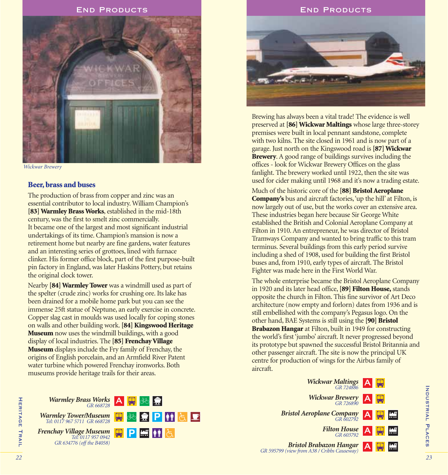

*Wickwar Brewery*

### **Beer, brass and buses**

The production of brass from copper and zinc was an essential contributor to local industry. William Champion's **[83] Warmley Brass Works**, established in the mid-18th century, was the first to smelt zinc commercially. It became one of the largest and most significant industrial undertakings of its time. Champion's mansion is now a retirement home but nearby are fine gardens, water features and an interesting series of grottoes, lined with furnace clinker. His former office block, part of the first purpose-built pin factory in England, was later Haskins Pottery, but retains the original clock tower.

Nearby **[84] Warmley Tower** was a windmill used as part of the spelter (crude zinc) works for crushing ore. Its lake has been drained for a mobile home park but you can see the immense 25ft statue of Neptune, an early exercise in concrete. Copper slag cast in moulds was used locally for coping stones on walls and other building work. **[84] Kingswood Heritage Museum** now uses the windmill buildings, with a good display of local industries. The **[85] Frenchay Village Museum** displays include the Fry family of Frenchay, the origins of English porcelain, and an Armfield River Patent water turbine which powered Frenchay ironworks. Both museums provide heritage trails for their areas.

#### End Products End Products



Brewing has always been a vital trade! The evidence is well preserved at **[86] Wickwar Maltings** whose large three-storey premises were built in local pennant sandstone, complete with two kilns. The site closed in 1961 and is now part of a garage. Just north on the Kingswood road is **[87] Wickwar Brewery**. A good range of buildings survives including the offices - look for Wickwar Brewery Offices on the glass fanlight. The brewery worked until 1922, then the site was used for cider making until 1968 and it's now a trading estate.

Much of the historic core of the **[88] Bristol Aeroplane Company's** bus and aircraft factories, 'up the hill' at Filton, is now largely out of use, but the works cover an extensive area. These industries began here because Sir George White established the British and Colonial Aeroplane Company at Filton in 1910. An entrepreneur, he was director of Bristol Tramways Company and wanted to bring traffic to this tram terminus. Several buildings from this early period survive including a shed of 1908, used for building the first Bristol buses and, from 1910, early types of aircraft. The Bristol Fighter was made here in the First World War.

The whole enterprise became the Bristol Aeroplane Company in 1920 and its later head office,**[89] Filton House,** stands opposite the church in Filton. This fine survivor of Art Deco architecture (now empty and forlorn) dates from 1936 and is still embellished with the company's Pegasus logo. On the other hand, BAE Systems is still using the **[90] Bristol Brabazon Hangar** at Filton, built in 1949 for constructing the world's first 'jumbo' aircraft. It never progressed beyond its prototype but spawned the successful Bristol Britannia and other passenger aircraft. The site is now the principal UK centre for production of wings for the Airbus family of aircraft.





Heritage Trail

**HERITAGE TRAIL**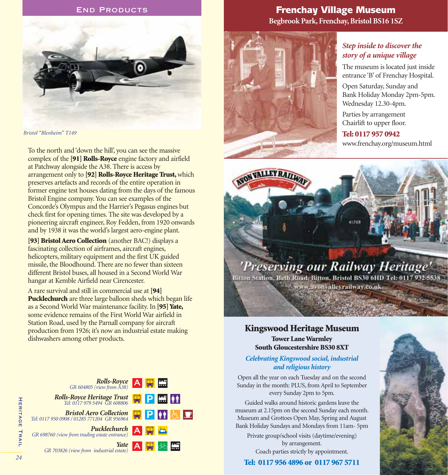#### End Products



*Bristol "Blenheim" T149*

To the north and 'down the hill', you can see the massive complex of the **[91] Rolls-Royce** engine factory and airfield at Patchway alongside the A38. There is access by arrangement only to **[92] Rolls-Royce Heritage Trust,**which preserves artefacts and records of the entire operation in former engine test houses dating from the days of the famous Bristol Engine company. You can see examples of the Concorde's Olympus and the Harrier's Pegasus engines but check first for opening times. The site was developed by a pioneering aircraft engineer, Roy Fedden, from 1920 onwards and by 1938 it was the world's largest aero-engine plant.

**[93] Bristol Aero Collection** (another BAC!) displays a fascinating collection of airframes, aircraft engines, helicopters, military equipment and the first UK guided missile, the Bloodhound. There are no fewer than sixteen different Bristol buses, all housed in a Second World War hangar at Kemble Airfield near Cirencester.

A rare survival and still in commercial use at **[94] Pucklechurch** are three large balloon sheds which began life as a Second World War maintenance facility. In **[95] Yate,** some evidence remains of the First World War airfield in Station Road, used by the Parnall company for aircraft production from 1926; it's now an industrial estate making dishwashers among other products.



# Frenchay Village Museum **Begbrook Park, Frenchay, Bristol BS16 1SZ**



**AVON VALLEY RAIL** 

# *Step inside to discover the story of a unique village*

The museum is located just inside entrance 'B' of Frenchay Hospital.

Open Saturday, Sunday and Bank Holiday Monday 2pm-5pm. Wednesday 12.30-4pm.

Parties by arrangement Chairlift to upper floor.

# **Tel: 0117 957 0942**

www.frenchay.org/museum.html



Bitton Station, Bath Road, Bitton, Bristol BS30 6HD Tel: 0117 932 5538 www.avonyalleyrailway.co.uk-

## **Kingswood Heritage Museum Tower Lane Warmley South Gloucestershire BS30 8XT**

## *Celebrating Kingswood social, industrial and religious history*

Open all the year on each Tuesday and on the second Sunday in the month: PLUS, from April to September every Sunday 2pm to 5pm.

Guided walks around historic gardens leave the museum at 2.15pm on the second Sunday each month. Museum and Grottoes Open May, Spring and August Bank Holiday Sundays and Mondays from 11am- 5pm

Private group/school visits (daytime/evening) by arrangement. Coach parties strictly by appointment.

**Tel: 0117 956 4896 or 0117 967 5711**

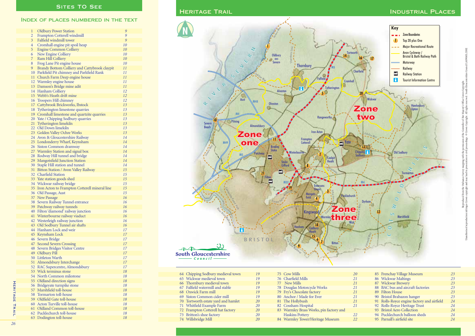### Index of places numbered in the text

| $\mathbf{1}$   | <b>Oldbury Power Station</b>                                          | 9  |
|----------------|-----------------------------------------------------------------------|----|
| $\overline{2}$ | Frampton Cotterell windmill                                           | 9  |
| $\overline{3}$ | Falfield windmill tower                                               | 9  |
| $\overline{4}$ | Cromhall engine pit spoil heap                                        | 10 |
| 5              | <b>Engine Common Colliery</b>                                         | 10 |
| 6              | New Engine Colliery                                                   | 10 |
| $\overline{7}$ | Ram Hill Colliery                                                     | 10 |
| 8              | Frog Lane Pit engine house                                            | 10 |
| 9              | Brandy Bottom Colliery and Cattybrook claypit                         | 11 |
| 10             | Parkfield Pit chimney and Parkfield Rank                              | 11 |
| 11             | Church Farm Deep engine house                                         | 11 |
|                | 12 Warmley engine house                                               | 11 |
|                | 13 Damson's Bridge mine adit                                          | 11 |
|                | 14 Hanham Colliery                                                    | 12 |
|                | 15 Webb's Heath drift mine                                            | 12 |
|                | 16 Troopers Hill chimney                                              | 12 |
|                | 17 Cattybrook Brickworks, Ibstock                                     | 13 |
|                | 18 Tytherington limestone quarries                                    | 13 |
|                | 19 Cromhall limestone and quartzite quarries                          | 13 |
|                | 20 Yate / Chipping Sodbury quarries                                   | 13 |
|                | 21 Tytherington limekiln                                              | 13 |
|                | 22 Old Down limekiln                                                  | 13 |
|                | 23 Golden Valley Ochre Works                                          | 13 |
|                | 24 Avon & Gloucestershire Railway                                     | 14 |
|                | 25 Londonderry Wharf, Keynsham                                        | 14 |
|                | 26 Siston Common dramway                                              | 14 |
|                |                                                                       | 14 |
|                | 27 Warmley Station and signal box<br>28 Rodway Hill tunnel and bridge | 14 |
|                | 29 Mangotsfield Junction Station                                      | 14 |
|                | 30 Staple Hill station and tunnel                                     | 14 |
|                | 31 Bitton Station / Avon Valley Railway                               | 15 |
|                | 32 Charfield Station                                                  | 15 |
|                | 33 Yate station goods shed                                            | 15 |
|                | 34 Wickwar railway bridge                                             | 15 |
|                | 35 Iron Acton to Frampton Cotterell mineral line                      | 15 |
|                | 36 Old Passage, Aust                                                  | 15 |
|                | 37 New Passage                                                        | 16 |
|                | 38 Severn Railway Tunnel entrance                                     | 16 |
|                | 39 Patchway railway tunnels                                           | 16 |
|                | 40 Filton 'diamond' railway junction                                  | 16 |
|                | 41 Winterbourne railway viaduct                                       | 16 |
|                | 42 Westerleigh railway junction                                       | 16 |
|                | 43 Old Sodbury Tunnel air shafts                                      | 16 |
|                | 44 Hanham Lock and weir                                               | 17 |
|                | 45 Keynsham Lock                                                      | 17 |
|                | 46 Severn Bridge                                                      | 17 |
|                | 47 Second Severn Crossing                                             | 17 |
|                | 48 Severn Bridges Visitor Centre                                      | 17 |
|                | 49 Oldbury Pill                                                       | 17 |
|                | 50 Littleton Warth                                                    | 17 |
|                | 51 Almondsbury Interchange                                            | 17 |
|                | 52 RAC Supercentre, Almondsbury                                       | 17 |
|                | 53 Wick terminus stone                                                | 18 |
|                | 54 North Common milestone                                             | 18 |
| 55             | Oldland direction signs                                               | 18 |
| 56             | Bridgeyate turnpike stone                                             | 18 |
| 57             | Marshfield toll-house                                                 | 18 |
| 58             | Tormarton toll-house                                                  | 18 |
| 59             | Oldfield Gate toll-house                                              | 18 |
| 60             | Acton Turville toll-house                                             | 18 |
| 61             | Oldland Common toll-house                                             | 18 |
| 62             | Pucklechurch toll-house                                               | 18 |
| 63             | Dodington toll-house                                                  | 18 |
|                |                                                                       |    |
|                |                                                                       |    |



|  | 64 Chipping Sodbury medieval town   | 19 |
|--|-------------------------------------|----|
|  | 65 Wickwar medieval town            | 19 |
|  | 66 Thornbury medieval town          | 19 |
|  | 67 Falfield watermill and stable    | 19 |
|  | 68 Oxwick Farm mill                 | 19 |
|  | 69 Siston Common cider mill         | 19 |
|  | 70 Tortworth estate yard and hamlet | 20 |
|  | 71 Whitfield Example Farm           | 20 |
|  | 72 Frampton Cotterell hat factory   | 20 |
|  | 73 Britton's shoe factory           | 20 |
|  | 74 Willsbridge Mill                 | 20 |

|  | 75 Cow Mills                            | 20 | 85 Frenchay Village Museum                 | 23 |
|--|-----------------------------------------|----|--------------------------------------------|----|
|  | 76 Charfield Mills                      | 21 | 86 Wickwar Maltings                        | 23 |
|  | 77 New Mills                            | 21 | 87 Wickwar Brewery                         | 23 |
|  | 78 Douglas Motorcycle Works             | 21 | 88 BAC bus and aircraft factories          | 23 |
|  | 79 Fry's Chocolate factory              | 21 | 89 Filton House                            | 23 |
|  | 80 Anchor / Made for Ever               | 21 | 90 Bristol Brabazon hanger                 | 23 |
|  | 81 The Hollybush                        | 21 | 91 Rolls-Royce engine factory and airfield | 24 |
|  | 82 Cossham Hospital                     | 21 | 92 Rolls-Royce Heritage Trust              | 24 |
|  | 83 Warmley Brass Works, pin factory and |    | 93 Bristol Aero Collection                 | 24 |
|  | <b>Haskins Pottery</b>                  | 22 | 94 Pucklechurch balloon sheds              | 24 |
|  | 84 Warmley Tower/Heritage Museum        | 22 | 95 Parnall's airfield site                 | 24 |
|  |                                         |    |                                            |    |